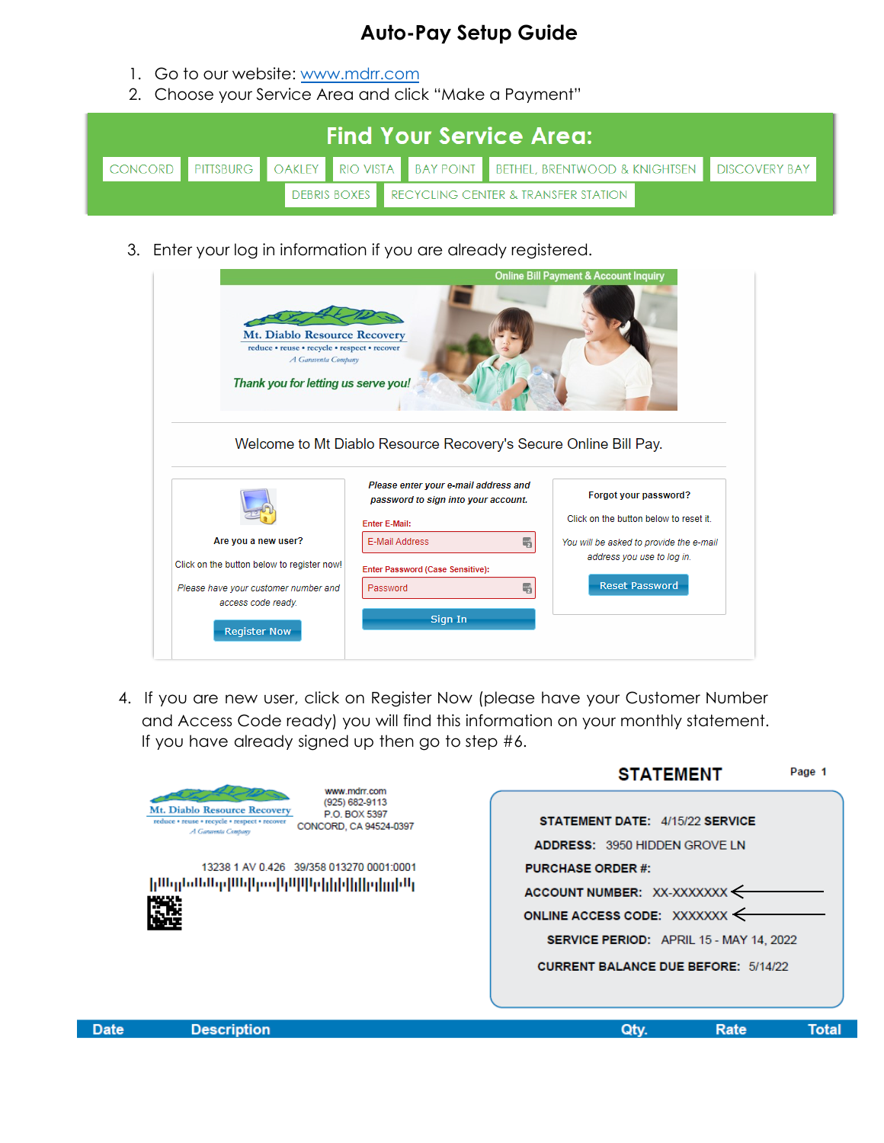## **Auto-Pay Setup Guide**

- 1. Go to our website: www.mdrr.com
- 2. Choose your Service Area and click "Make a Payment"

|  |  |  |  | <b>Find Your Service Area: A</b>                                                                     |  |
|--|--|--|--|------------------------------------------------------------------------------------------------------|--|
|  |  |  |  | CONCORD   PITTSBURG   OAKLEY   RIO VISTA   BAY POINT   BETHEL, BRENTWOOD & KNIGHTSEN   DISCOVERY BAY |  |
|  |  |  |  | DEBRIS BOXES RECYCLING CENTER & TRANSFER STATION                                                     |  |

3. Enter your log in information if you are already registered.

| <b>Mt. Diablo Resource Recovery</b><br>reduce · reuse · recycle · respect · recover<br>A Garaventa Company<br>Thank you for letting us serve you!      | Welcome to Mt Diablo Resource Recovery's Secure Online Bill Pay.                                                                                                                           | <b>Online Bill Payment &amp; Account Inquiry</b>                                                                                                                 |
|--------------------------------------------------------------------------------------------------------------------------------------------------------|--------------------------------------------------------------------------------------------------------------------------------------------------------------------------------------------|------------------------------------------------------------------------------------------------------------------------------------------------------------------|
| Are you a new user?<br>Click on the button below to register now!<br>Please have your customer number and<br>access code ready.<br><b>Register Now</b> | Please enter your e-mail address and<br>password to sign into your account.<br><b>Enter E-Mail:</b><br>E-Mail Address<br>嗝<br>Enter Password (Case Sensitive):<br>嗎<br>Password<br>Sign In | Forgot your password?<br>Click on the button below to reset it<br>You will be asked to provide the e-mail<br>address you use to log in.<br><b>Reset Password</b> |

4. If you are new user, click on Register Now (please have your Customer Number and Access Code ready) you will find this information on your monthly statement. If you have already signed up then go to step #6.

|             |                                                                                                                                                                                                                                                                   | SIAIEMENI<br>Page 1                                                                                                                                                                                                                                                             |
|-------------|-------------------------------------------------------------------------------------------------------------------------------------------------------------------------------------------------------------------------------------------------------------------|---------------------------------------------------------------------------------------------------------------------------------------------------------------------------------------------------------------------------------------------------------------------------------|
|             | www.mdrr.com<br>(925) 682-9113<br>Mt. Diablo Resource Recovery<br>P.O. BOX 5397<br>reduce * reuse * recycle * respect * recover<br>CONCORD, CA 94524-0397<br>A Garayenta Company<br>13238 1 AV 0.426 39/358 013270 0001:0001<br>իազններիականիակինինիկինորդեն<br>灉 | STATEMENT DATE: 4/15/22 SERVICE<br><b>ADDRESS: 3950 HIDDEN GROVE LN</b><br><b>PURCHASE ORDER #:</b><br>ACCOUNT NUMBER: XX-XXXXXXX <<br>ONLINE ACCESS CODE: XXXXXXX $\leftarrow$<br><b>SERVICE PERIOD:</b> APRIL 15 - MAY 14, 2022<br><b>CURRENT BALANCE DUE BEFORE: 5/14/22</b> |
| <b>Date</b> | <b>Description</b>                                                                                                                                                                                                                                                | Rate<br>Qty.<br>Tota                                                                                                                                                                                                                                                            |

----------

 $R = 1$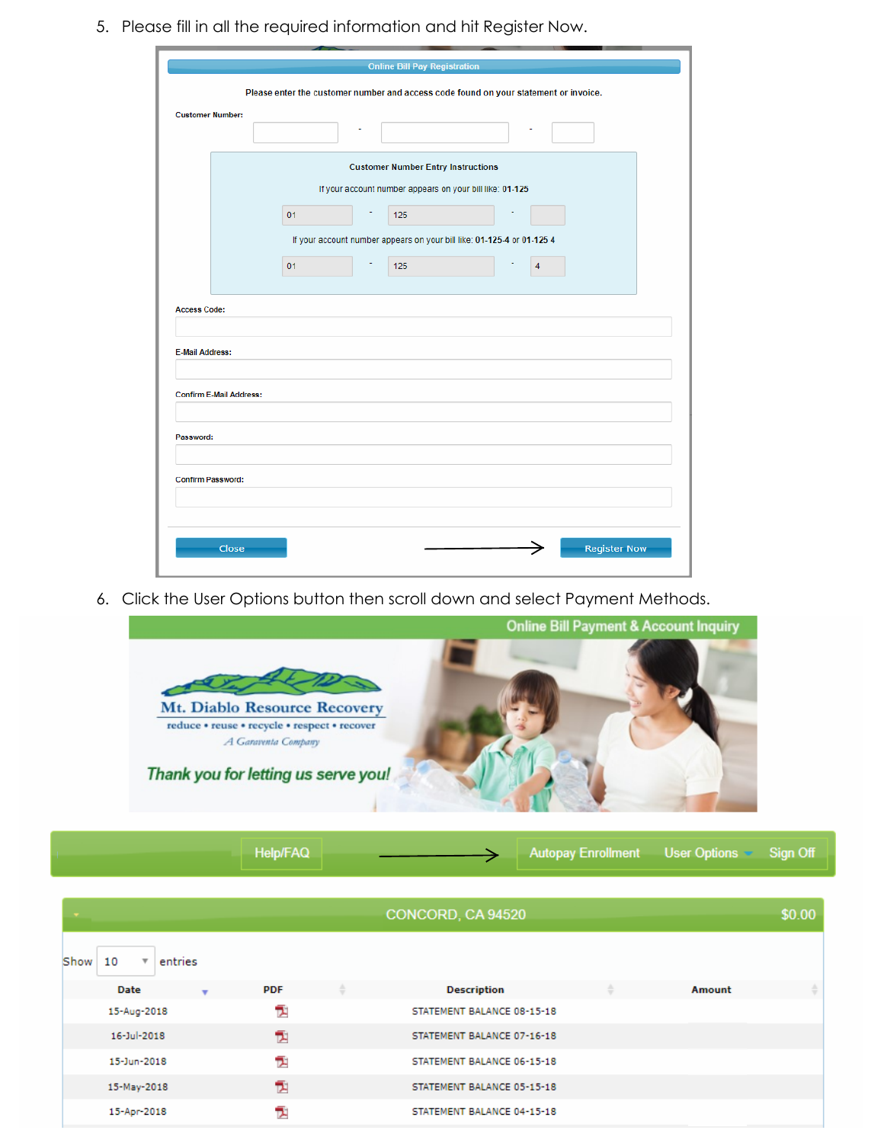5. Please fill in all the required information and hit Register Now.

|                                |    | <b>Online Bill Pay Registration</b>                      |                                                                                      |                     |
|--------------------------------|----|----------------------------------------------------------|--------------------------------------------------------------------------------------|---------------------|
|                                |    |                                                          | Please enter the customer number and access code found on your statement or invoice. |                     |
| <b>Customer Number:</b>        |    |                                                          |                                                                                      |                     |
|                                |    | <b>Customer Number Entry Instructions</b>                |                                                                                      |                     |
|                                |    | If your account number appears on your bill like: 01-125 |                                                                                      |                     |
|                                | 01 | 125                                                      |                                                                                      |                     |
|                                |    |                                                          | If your account number appears on your bill like: 01-125-4 or 01-125 4               |                     |
|                                | 01 | 125                                                      |                                                                                      |                     |
| <b>E-Mail Address:</b>         |    |                                                          |                                                                                      |                     |
| <b>Confirm E-Mail Address:</b> |    |                                                          |                                                                                      |                     |
| Password:                      |    |                                                          |                                                                                      |                     |
| <b>Confirm Password:</b>       |    |                                                          |                                                                                      |                     |
| Close                          |    |                                                          |                                                                                      | <b>Register Now</b> |

6. Click the User Options button then scroll down and select Payment Methods.



|  |  | Help/FAQ | Autopay Enrollment User Options The Sign Off |  |  |  |
|--|--|----------|----------------------------------------------|--|--|--|
|--|--|----------|----------------------------------------------|--|--|--|

|                                                    |            | CONCORD, CA 94520          |        | \$0.00 |
|----------------------------------------------------|------------|----------------------------|--------|--------|
| 10<br>entries<br>$\overline{\mathbf{v}}$ .<br>Show |            |                            |        |        |
| Date<br>$\overline{\mathbf{v}}$                    | <b>PDF</b> | <b>Description</b>         | Amount |        |
| 15-Aug-2018                                        | 둿          | STATEMENT BALANCE 08-15-18 |        |        |
| 16-Jul-2018                                        | 包          | STATEMENT BALANCE 07-16-18 |        |        |
| 15-Jun-2018                                        | T.         | STATEMENT BALANCE 06-15-18 |        |        |
| 15-May-2018                                        | 包          | STATEMENT BALANCE 05-15-18 |        |        |
| 15-Apr-2018                                        | 친          | STATEMENT BALANCE 04-15-18 |        |        |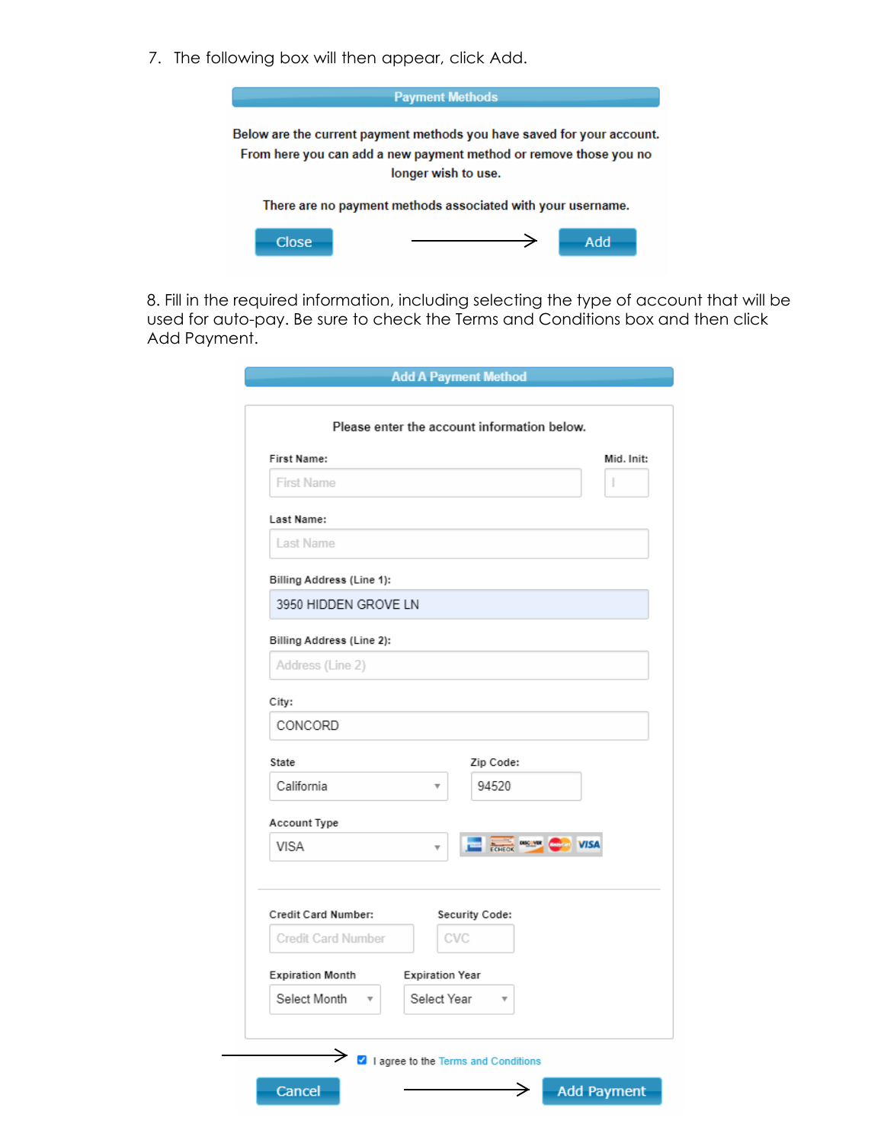7. The following box will then appear, click Add.



8. Fill in the required information, including selecting the type of account that will be used for auto-pay. Be sure to check the Terms and Conditions box and then click Add Payment.

|                                         | Please enter the account information below. |
|-----------------------------------------|---------------------------------------------|
| First Name:                             | Mid. Init:                                  |
| <b>First Name</b>                       | ı                                           |
| Last Name:                              |                                             |
| Last Name                               |                                             |
| Billing Address (Line 1):               |                                             |
| 3950 HIDDEN GROVE LN                    |                                             |
| Billing Address (Line 2):               |                                             |
| Address (Line 2)                        |                                             |
| City:                                   |                                             |
| CONCORD                                 |                                             |
| State                                   | Zip Code:                                   |
| California                              | 94520                                       |
| Account Type                            |                                             |
| VISA                                    | <b>ECHECK DISCANE COMPANY VISA</b>          |
| Credit Card Number:                     | Security Code:                              |
| <b>Credit Card Number</b>               | CVC                                         |
| <b>Expiration Month</b>                 | <b>Expiration Year</b>                      |
| Select Month<br>$\overline{\mathbf{v}}$ | Select Year                                 |
| →                                       | I agree to the Terms and Conditions         |
| Cancel                                  | <b>Add Payment</b><br>→                     |